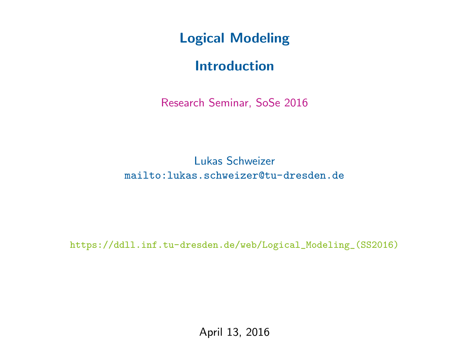Logical Modeling

## Introduction

Research Seminar, SoSe 2016

Lukas Schweizer [mailto:lukas.schweizer@tu-dresden.de](mailto: lukas.schweizer@tu-dresden.de)

[https://ddll.inf.tu-dresden.de/web/Logical\\_Modeling\\_\(SS2016\)](https://ddll.inf.tu-dresden.de/web/Logical_Modeling_(SS2016))

April 13, 2016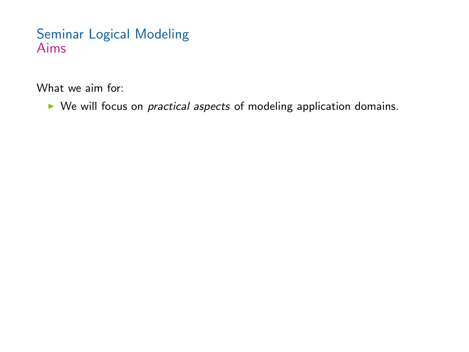What we aim for:

 $\triangleright$  We will focus on *practical aspects* of modeling application domains.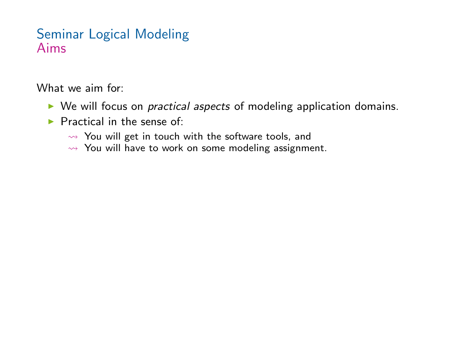What we aim for:

- $\triangleright$  We will focus on *practical aspects* of modeling application domains.
- $\blacktriangleright$  Practical in the sense of:
	- $\rightarrow$  You will get in touch with the software tools, and
	- $\rightarrow$  You will have to work on some modeling assignment.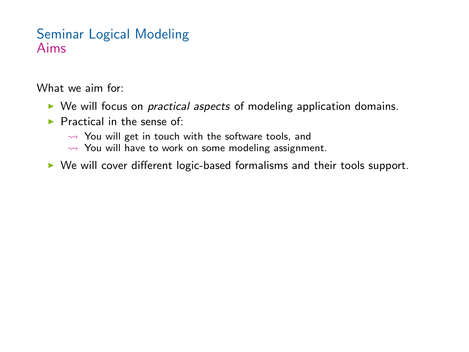What we aim for:

- $\triangleright$  We will focus on *practical aspects* of modeling application domains.
- $\blacktriangleright$  Practical in the sense of:
	- $\rightarrow$  You will get in touch with the software tools, and
	- $\rightarrow$  You will have to work on some modeling assignment.
- $\triangleright$  We will cover different logic-based formalisms and their tools support.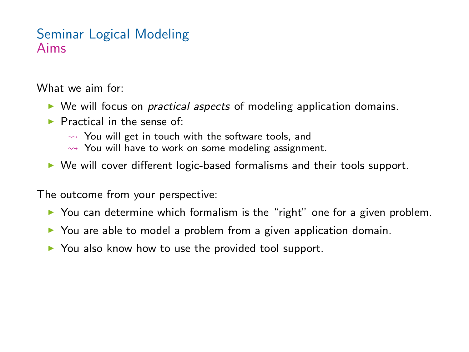What we aim for:

- $\triangleright$  We will focus on *practical aspects* of modeling application domains.
- $\blacktriangleright$  Practical in the sense of:
	- $\rightarrow$  You will get in touch with the software tools, and
	- $\rightarrow$  You will have to work on some modeling assignment.
- $\triangleright$  We will cover different logic-based formalisms and their tools support.

The outcome from your perspective:

- $\triangleright$  You can determine which formalism is the "right" one for a given problem.
- $\triangleright$  You are able to model a problem from a given application domain.
- $\triangleright$  You also know how to use the provided tool support.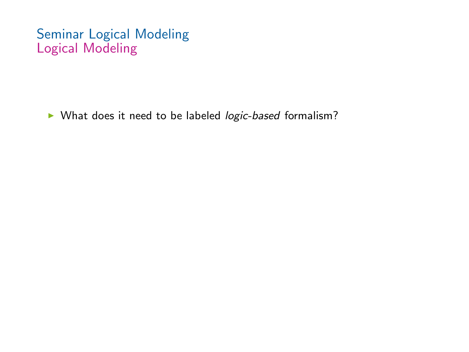$\triangleright$  What does it need to be labeled logic-based formalism?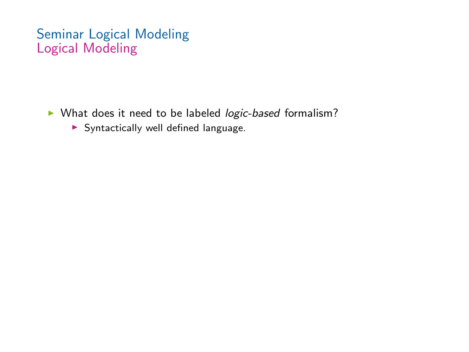- ▶ What does it need to be labeled *logic-based* formalism?
	- $\blacktriangleright$  Syntactically well defined language.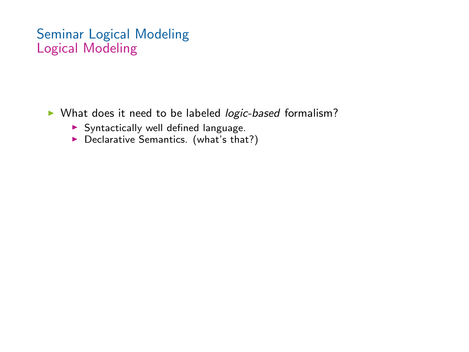- ▶ What does it need to be labeled *logic-based* formalism?
	- $\triangleright$  Syntactically well defined language.
	- $\blacktriangleright$  Declarative Semantics. (what's that?)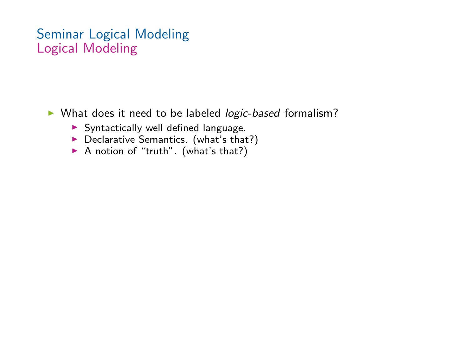▶ What does it need to be labeled *logic-based* formalism?

- $\blacktriangleright$  Syntactically well defined language.
- $\blacktriangleright$  Declarative Semantics. (what's that?)
- $\triangleright$  A notion of "truth". (what's that?)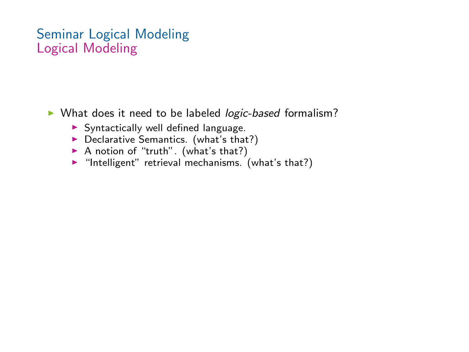$\triangleright$  What does it need to be labeled *logic-based* formalism?

- $\triangleright$  Syntactically well defined language.
- $\blacktriangleright$  Declarative Semantics. (what's that?)
- $\triangleright$  A notion of "truth". (what's that?)
- $\blacktriangleright$  "Intelligent" retrieval mechanisms. (what's that?)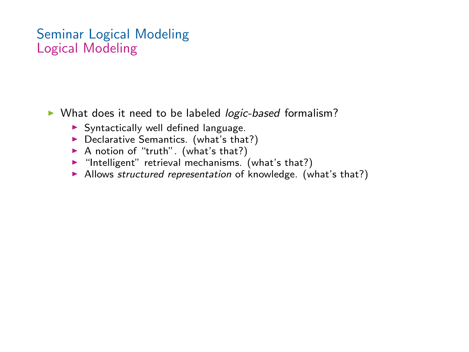▶ What does it need to be labeled *logic-based* formalism?

- $\triangleright$  Syntactically well defined language.
- $\blacktriangleright$  Declarative Semantics. (what's that?)
- $\triangleright$  A notion of "truth". (what's that?)
- $\blacktriangleright$  "Intelligent" retrieval mechanisms. (what's that?)
- $\triangleright$  Allows structured representation of knowledge. (what's that?)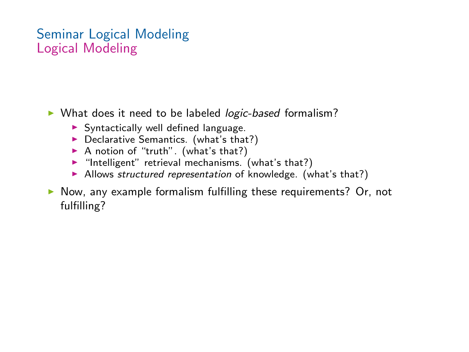▶ What does it need to be labeled *logic-based* formalism?

- $\triangleright$  Syntactically well defined language.
- $\blacktriangleright$  Declarative Semantics. (what's that?)
- $\triangleright$  A notion of "truth". (what's that?)
- $\blacktriangleright$  "Intelligent" retrieval mechanisms. (what's that?)
- $\blacktriangleright$  Allows structured representation of knowledge. (what's that?)
- $\triangleright$  Now, any example formalism fulfilling these requirements? Or, not fulfilling?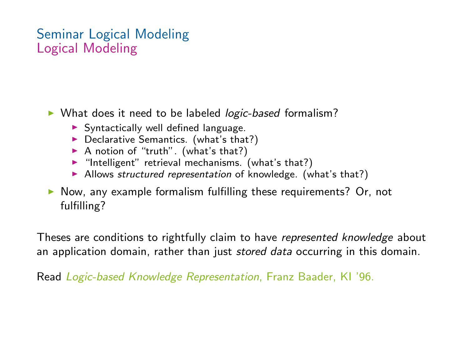▶ What does it need to be labeled *logic-based* formalism?

- $\triangleright$  Syntactically well defined language.
- $\blacktriangleright$  Declarative Semantics. (what's that?)
- $\triangleright$  A notion of "truth". (what's that?)
- $\blacktriangleright$  "Intelligent" retrieval mechanisms. (what's that?)
- $\blacktriangleright$  Allows structured representation of knowledge. (what's that?)

 $\triangleright$  Now, any example formalism fulfilling these requirements? Or, not fulfilling?

Theses are conditions to rightfully claim to have *represented knowledge* about an application domain, rather than just stored data occurring in this domain.

Read Logic-based Knowledge Representation, Franz Baader, KI '96.